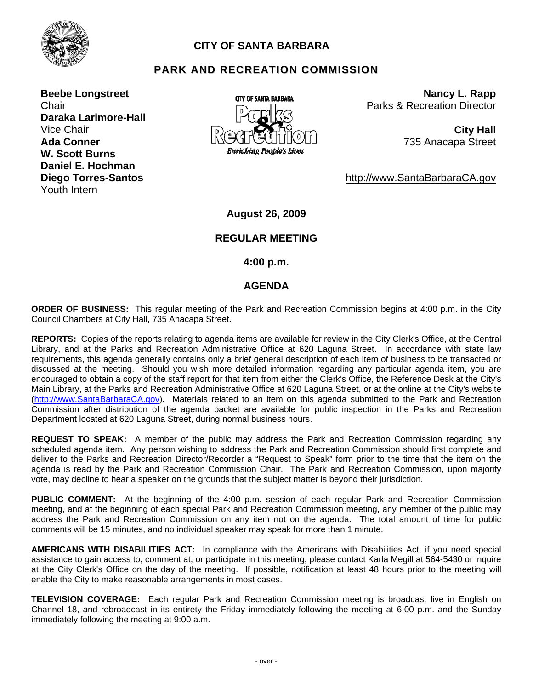

# **CITY OF SANTA BARBARA**

# **PARK AND RECREATION COMMISSION**

**Beebe Longstreet Chair Daraka Larimore-Hall Ada Conner W. Scott Burns Daniel E. Hochman Diego Torres-Santos**  Youth Intern



**Nancy L. Rapp** Parks & Recreation Director

735 Anacapa Street

http://www.SantaBarbaraCA.gov

**August 26, 2009** 

#### **REGULAR MEETING**

 **4:00 p.m.** 

#### **AGENDA**

**ORDER OF BUSINESS:** This regular meeting of the Park and Recreation Commission begins at 4:00 p.m. in the City Council Chambers at City Hall, 735 Anacapa Street.

**REPORTS:** Copies of the reports relating to agenda items are available for review in the City Clerk's Office, at the Central Library, and at the Parks and Recreation Administrative Office at 620 Laguna Street. In accordance with state law requirements, this agenda generally contains only a brief general description of each item of business to be transacted or discussed at the meeting. Should you wish more detailed information regarding any particular agenda item, you are encouraged to obtain a copy of the staff report for that item from either the Clerk's Office, the Reference Desk at the City's Main Library, at the Parks and Recreation Administrative Office at 620 Laguna Street, or at the online at the City's website (http://www.SantaBarbaraCA.gov). Materials related to an item on this agenda submitted to the Park and Recreation Commission after distribution of the agenda packet are available for public inspection in the Parks and Recreation Department located at 620 Laguna Street, during normal business hours.

**REQUEST TO SPEAK:** A member of the public may address the Park and Recreation Commission regarding any scheduled agenda item. Any person wishing to address the Park and Recreation Commission should first complete and deliver to the Parks and Recreation Director/Recorder a "Request to Speak" form prior to the time that the item on the agenda is read by the Park and Recreation Commission Chair. The Park and Recreation Commission, upon majority vote, may decline to hear a speaker on the grounds that the subject matter is beyond their jurisdiction.

**PUBLIC COMMENT:** At the beginning of the 4:00 p.m. session of each regular Park and Recreation Commission meeting, and at the beginning of each special Park and Recreation Commission meeting, any member of the public may address the Park and Recreation Commission on any item not on the agenda. The total amount of time for public comments will be 15 minutes, and no individual speaker may speak for more than 1 minute.

**AMERICANS WITH DISABILITIES ACT:** In compliance with the Americans with Disabilities Act, if you need special assistance to gain access to, comment at, or participate in this meeting, please contact Karla Megill at 564-5430 or inquire at the City Clerk's Office on the day of the meeting. If possible, notification at least 48 hours prior to the meeting will enable the City to make reasonable arrangements in most cases.

**TELEVISION COVERAGE:** Each regular Park and Recreation Commission meeting is broadcast live in English on Channel 18, and rebroadcast in its entirety the Friday immediately following the meeting at 6:00 p.m. and the Sunday immediately following the meeting at 9:00 a.m.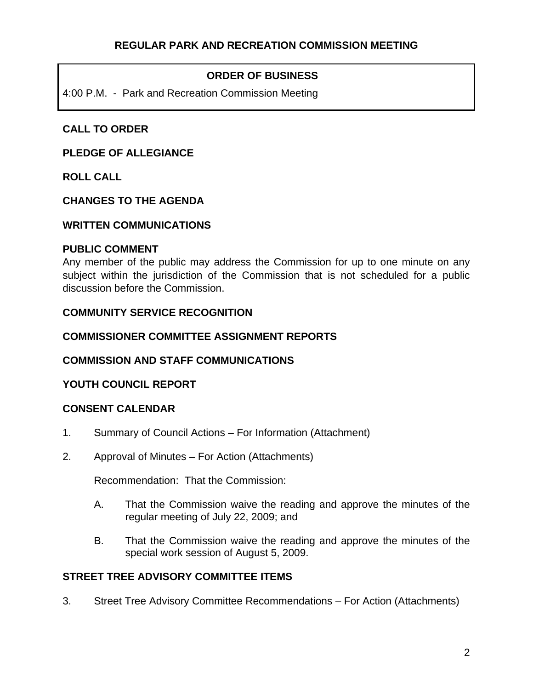# **ORDER OF BUSINESS**

4:00 P.M. - Park and Recreation Commission Meeting

# **CALL TO ORDER**

### **PLEDGE OF ALLEGIANCE**

**ROLL CALL** 

### **CHANGES TO THE AGENDA**

### **WRITTEN COMMUNICATIONS**

### **PUBLIC COMMENT**

Any member of the public may address the Commission for up to one minute on any subject within the jurisdiction of the Commission that is not scheduled for a public discussion before the Commission.

## **COMMUNITY SERVICE RECOGNITION**

### **COMMISSIONER COMMITTEE ASSIGNMENT REPORTS**

## **COMMISSION AND STAFF COMMUNICATIONS**

## **YOUTH COUNCIL REPORT**

## **CONSENT CALENDAR**

- 1. Summary of Council Actions For Information (Attachment)
- 2. Approval of Minutes For Action (Attachments)

Recommendation: That the Commission:

- A. That the Commission waive the reading and approve the minutes of the regular meeting of July 22, 2009; and
- B. That the Commission waive the reading and approve the minutes of the special work session of August 5, 2009.

### **STREET TREE ADVISORY COMMITTEE ITEMS**

3. Street Tree Advisory Committee Recommendations – For Action (Attachments)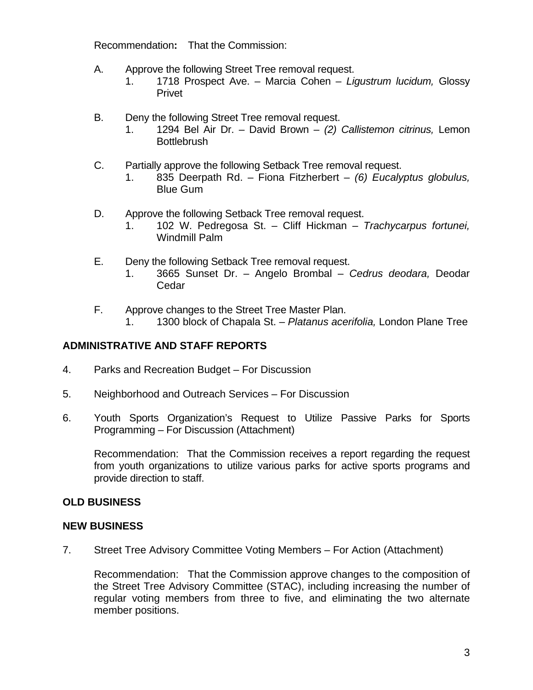Recommendation**:** That the Commission:

- A. Approve the following Street Tree removal request.
	- 1. 1718 Prospect Ave. Marcia Cohen *Ligustrum lucidum,* Glossy Privet
- B. Deny the following Street Tree removal request.
	- 1. 1294 Bel Air Dr. David Brown *(2) Callistemon citrinus,* Lemon **Bottlebrush**
- C. Partially approve the following Setback Tree removal request.
	- 1. 835 Deerpath Rd. Fiona Fitzherbert *(6) Eucalyptus globulus,* Blue Gum
- D. Approve the following Setback Tree removal request.
	- 1. 102 W. Pedregosa St. Cliff Hickman *Trachycarpus fortunei,* Windmill Palm
- E. Deny the following Setback Tree removal request.
	- 1. 3665 Sunset Dr. Angelo Brombal *Cedrus deodara,* Deodar Cedar
- F. Approve changes to the Street Tree Master Plan.
	- 1. 1300 block of Chapala St. *Platanus acerifolia,* London Plane Tree

## **ADMINISTRATIVE AND STAFF REPORTS**

- 4. Parks and Recreation Budget For Discussion
- 5. Neighborhood and Outreach Services For Discussion
- 6. Youth Sports Organization's Request to Utilize Passive Parks for Sports Programming – For Discussion (Attachment)

Recommendation: That the Commission receives a report regarding the request from youth organizations to utilize various parks for active sports programs and provide direction to staff.

### **OLD BUSINESS**

### **NEW BUSINESS**

7. Street Tree Advisory Committee Voting Members – For Action (Attachment)

Recommendation: That the Commission approve changes to the composition of the Street Tree Advisory Committee (STAC), including increasing the number of regular voting members from three to five, and eliminating the two alternate member positions.